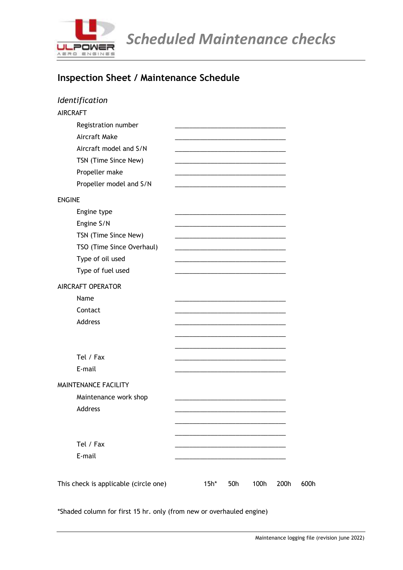

*Scheduled Maintenance checks* 

### **Inspection Sheet / Maintenance Schedule**

| $15h*$ | 50h | 100h | 200h | 600h |
|--------|-----|------|------|------|
|        |     |      |      |      |

\*Shaded column for first 15 hr. only (from new or overhauled engine)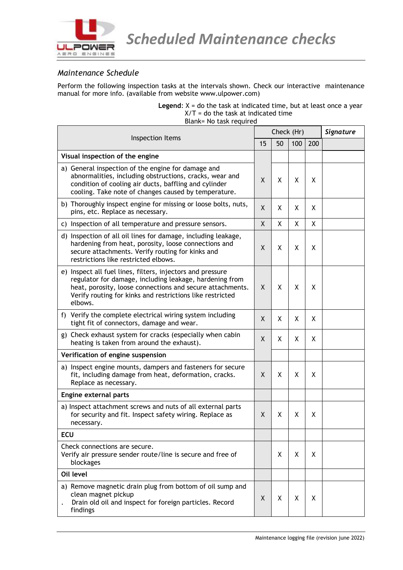

#### *Maintenance Schedule*

Perform the following inspection tasks at the intervals shown. Check our interactive maintenance manual for more info. (available from website www.ulpower.com)

> **Legend:**  $X =$  do the task at indicated time, but at least once a year  $X/T =$  do the task at indicated time Blank= No task required

| Inspection Items                                                                                                                                                                                                                                           |              | Check (Hr) | Signature |     |  |
|------------------------------------------------------------------------------------------------------------------------------------------------------------------------------------------------------------------------------------------------------------|--------------|------------|-----------|-----|--|
|                                                                                                                                                                                                                                                            |              | 50         | 100       | 200 |  |
| Visual inspection of the engine                                                                                                                                                                                                                            |              |            |           |     |  |
| a) General inspection of the engine for damage and<br>abnormalities, including obstructions, cracks, wear and<br>condition of cooling air ducts, baffling and cylinder<br>cooling. Take note of changes caused by temperature.                             |              | X          | X         | χ   |  |
| b) Thoroughly inspect engine for missing or loose bolts, nuts,<br>pins, etc. Replace as necessary.                                                                                                                                                         | X            | X          | X         | X   |  |
| c) Inspection of all temperature and pressure sensors.                                                                                                                                                                                                     | $\mathsf{X}$ | X          | X         | X   |  |
| d) Inspection of all oil lines for damage, including leakage,<br>hardening from heat, porosity, loose connections and<br>secure attachments. Verify routing for kinks and<br>restrictions like restricted elbows.                                          | X            | X          | X         | X   |  |
| e) Inspect all fuel lines, filters, injectors and pressure<br>regulator for damage, including leakage, hardening from<br>heat, porosity, loose connections and secure attachments.<br>Verify routing for kinks and restrictions like restricted<br>elbows. | X            | X          | X         | X   |  |
| f) Verify the complete electrical wiring system including<br>tight fit of connectors, damage and wear.                                                                                                                                                     | X            | X          | Χ         | Χ   |  |
| g) Check exhaust system for cracks (especially when cabin<br>heating is taken from around the exhaust).                                                                                                                                                    | X            | X          | X         | X   |  |
| Verification of engine suspension                                                                                                                                                                                                                          |              |            |           |     |  |
| a) Inspect engine mounts, dampers and fasteners for secure<br>fit, including damage from heat, deformation, cracks.<br>Replace as necessary.                                                                                                               | X            | χ          | X         | X   |  |
| Engine external parts                                                                                                                                                                                                                                      |              |            |           |     |  |
| a) Inspect attachment screws and nuts of all external parts<br>for security and fit. Inspect safety wiring. Replace as<br>necessary.                                                                                                                       | X            | X          | X         | X   |  |
| <b>ECU</b>                                                                                                                                                                                                                                                 |              |            |           |     |  |
| Check connections are secure.<br>Verify air pressure sender route/line is secure and free of<br>blockages                                                                                                                                                  |              | X          | X         | X   |  |
| Oil level                                                                                                                                                                                                                                                  |              |            |           |     |  |
| a) Remove magnetic drain plug from bottom of oil sump and<br>clean magnet pickup<br>Drain old oil and inspect for foreign particles. Record<br>findings                                                                                                    | X            | X          | X         | X   |  |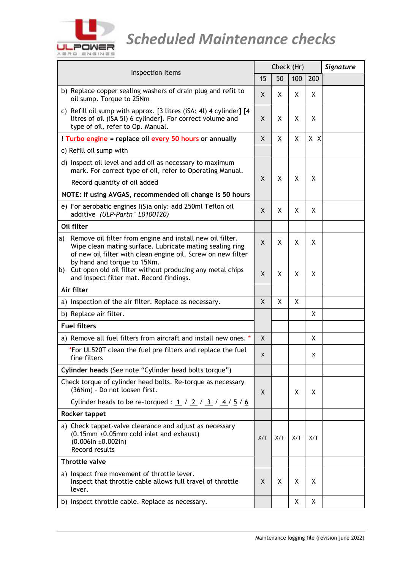

# *<u>ULPOWER</u> Scheduled Maintenance checks*

| Inspection Items                                                                                                                                                                            |     | Check (Hr) | Signature |         |  |
|---------------------------------------------------------------------------------------------------------------------------------------------------------------------------------------------|-----|------------|-----------|---------|--|
|                                                                                                                                                                                             |     | 50         | 100       | 200     |  |
| b) Replace copper sealing washers of drain plug and refit to<br>oil sump. Torque to 25Nm                                                                                                    | X   | X          | X         | X       |  |
| c) Refill oil sump with approx. [3 litres (iSA: 4l) 4 cylinder] [4<br>litres of oil (iSA 5l) 6 cylinder]. For correct volume and<br>type of oil, refer to Op. Manual.                       | X   | X          | χ         | X       |  |
| ! Turbo engine = replace oil every 50 hours or annually                                                                                                                                     | X   | X          | X         | $X$ $X$ |  |
| c) Refill oil sump with                                                                                                                                                                     |     |            |           |         |  |
| d) Inspect oil level and add oil as necessary to maximum<br>mark. For correct type of oil, refer to Operating Manual.                                                                       |     | X<br>X     |           | X       |  |
| Record quantity of oil added                                                                                                                                                                |     |            | χ         |         |  |
| NOTE: If using AVGAS, recommended oil change is 50 hours                                                                                                                                    |     |            |           |         |  |
| e) For aerobatic engines I(S)a only: add 250ml Teflon oil<br>additive (ULP-Partn° L0100120)                                                                                                 | X   | X          | X         | X       |  |
| Oil filter                                                                                                                                                                                  |     |            |           |         |  |
| Remove oil filter from engine and install new oil filter.<br>a)<br>Wipe clean mating surface. Lubricate mating sealing ring<br>of new oil filter with clean engine oil. Screw on new filter | X   | X          | X         | X       |  |
| by hand and torque to 15Nm.<br>Cut open old oil filter without producing any metal chips<br>b)<br>and inspect filter mat. Record findings.                                                  | X   | X          | χ         | χ       |  |
| Air filter                                                                                                                                                                                  |     |            |           |         |  |
| a) Inspection of the air filter. Replace as necessary.                                                                                                                                      | X   | X          | х         |         |  |
| b) Replace air filter.                                                                                                                                                                      |     |            |           | X       |  |
| <b>Fuel filters</b>                                                                                                                                                                         |     |            |           |         |  |
| a) Remove all fuel filters from aircraft and install new ones. *                                                                                                                            | X   |            |           | Χ       |  |
| *For UL520T clean the fuel pre filters and replace the fuel<br>fine filters                                                                                                                 | X   |            |           | x       |  |
| Cylinder heads (See note "Cylinder head bolts torque")                                                                                                                                      |     |            |           |         |  |
| Check torque of cylinder head bolts. Re-torque as necessary<br>(36Nm) - Do not loosen first.                                                                                                | X   |            | X         | X       |  |
| Cylinder heads to be re-torqued : $1 / 2 / 3 / 4 / 5 / 6$                                                                                                                                   |     |            |           |         |  |
| Rocker tappet                                                                                                                                                                               |     |            |           |         |  |
| a) Check tappet-valve clearance and adjust as necessary<br>$(0.15$ mm $\pm 0.05$ mm cold inlet and exhaust)<br>$(0.006$ in ±0.002in)<br>Record results                                      | X/T | X/T        | X/T       | X/T     |  |
| <b>Throttle valve</b>                                                                                                                                                                       |     |            |           |         |  |
| a) Inspect free movement of throttle lever.<br>Inspect that throttle cable allows full travel of throttle<br>lever.                                                                         | X.  | х          | х         | Χ       |  |
| b) Inspect throttle cable. Replace as necessary.                                                                                                                                            |     |            | X         | Χ       |  |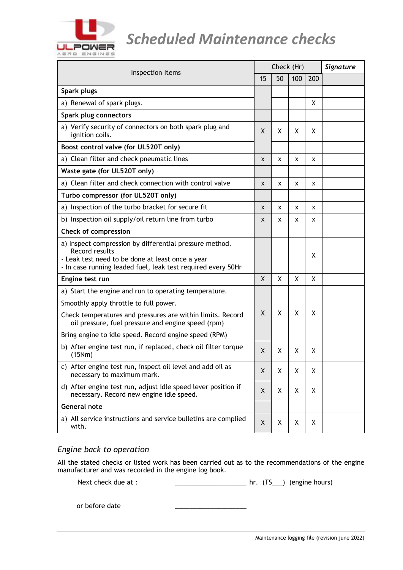

## *Scheduled Maintenance checks*

| Inspection Items                                                                                                                                                                              | Check (Hr) |    |     |     | Signature |
|-----------------------------------------------------------------------------------------------------------------------------------------------------------------------------------------------|------------|----|-----|-----|-----------|
|                                                                                                                                                                                               | 15         | 50 | 100 | 200 |           |
| Spark plugs                                                                                                                                                                                   |            |    |     |     |           |
| a) Renewal of spark plugs.                                                                                                                                                                    |            |    |     | Χ   |           |
| Spark plug connectors                                                                                                                                                                         |            |    |     |     |           |
| a) Verify security of connectors on both spark plug and<br>ignition coils.                                                                                                                    | X          | X  | X   | X   |           |
| Boost control valve (for UL520T only)                                                                                                                                                         |            |    |     |     |           |
| a) Clean filter and check pneumatic lines                                                                                                                                                     | X          | x  | x   | x   |           |
| Waste gate (for UL520T only)                                                                                                                                                                  |            |    |     |     |           |
| a) Clean filter and check connection with control valve                                                                                                                                       | X          | x  | x   | x   |           |
| Turbo compressor (for UL520T only)                                                                                                                                                            |            |    |     |     |           |
| a) Inspection of the turbo bracket for secure fit                                                                                                                                             | X          | X  | x   | x   |           |
| b) Inspection oil supply/oil return line from turbo                                                                                                                                           | X          | X  | x   | x   |           |
| <b>Check of compression</b>                                                                                                                                                                   |            |    |     |     |           |
| a) Inspect compression by differential pressure method.<br>Record results<br>- Leak test need to be done at least once a year<br>- In case running leaded fuel, leak test required every 50Hr |            |    |     | χ   |           |
| Engine test run                                                                                                                                                                               | X          | X  | X   | X   |           |
| a) Start the engine and run to operating temperature.                                                                                                                                         |            |    |     |     |           |
| Smoothly apply throttle to full power.<br>Check temperatures and pressures are within limits. Record<br>oil pressure, fuel pressure and engine speed (rpm)                                    | X          | X  | X   | X   |           |
| Bring engine to idle speed. Record engine speed (RPM)                                                                                                                                         |            |    |     |     |           |
| b) After engine test run, if replaced, check oil filter torque<br>(15Nm)                                                                                                                      | Χ          | х  | χ   | Χ   |           |
| c) After engine test run, inspect oil level and add oil as<br>necessary to maximum mark.                                                                                                      | Χ          | χ  | Χ   | χ   |           |
| d) After engine test run, adjust idle speed lever position if<br>necessary. Record new engine idle speed.                                                                                     | Χ          | χ  | χ   | X   |           |
| <b>General note</b>                                                                                                                                                                           |            |    |     |     |           |
| a) All service instructions and service bulletins are complied<br>with.                                                                                                                       | X          | Χ  | X   | X   |           |

### *Engine back to operation*

All the stated checks or listed work has been carried out as to the recommendations of the engine manufacturer and was recorded in the engine log book.

Next check due at : \_\_\_\_\_\_\_\_\_\_\_\_\_\_\_\_\_\_\_\_\_\_\_\_\_\_\_\_\_\_\_ hr. (TS\_\_\_) (engine hours)

or before date